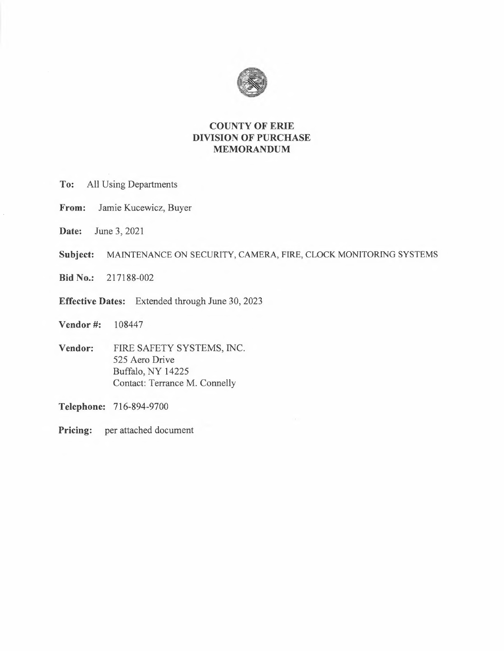

## **COUNTY OF ERIE DIVISION OF PURCHASE MEMORANDUM**

- **To:** All Using Departments
- **From:** Jamie Kucewicz, Buyer
- **Date:** June 3, 2021
- **Subject:** MAINTENANCE ON SECURITY, CAMERA, FIRE, CLOCK MONITORING SYSTEMS
- **Bid No.:** 217188-002
- **Effective Dates:** Extended through June 30, 2023
- **Vendor #:** 108447
- **Vendor:** FIRE SAFETY SYSTEMS, INC. 525 Aero Drive Buffalo, NY 14225 Contact: Terrance M. Connelly

**Telephone:** 716-894-9700

**Pricing:** per attached document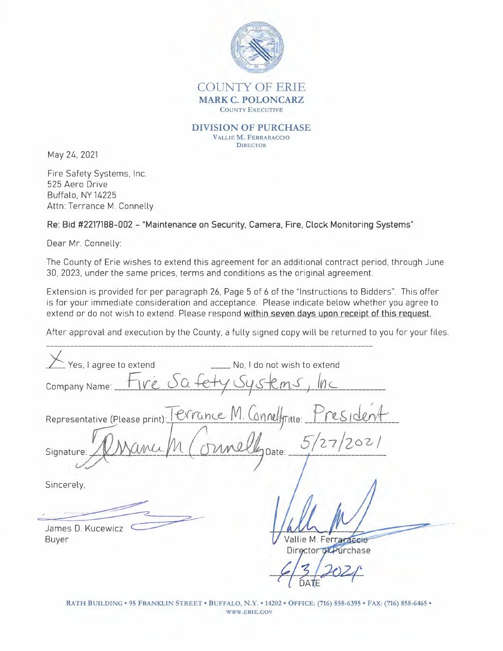

COUNTY OF ERIE **MARK C. POLONCARZ**  COUNTY EXECUTIVE

**DIVISION OF PURCHASE**  VALLIE **M.** FERRARACCIO **DIRECTOR** 

May 24, 2021

Fire Safety Systems, Inc. 525 Aero Drive Buffalo, NY 14225 Attn: Terrance M. Connelly

**Re: Bid #2217188-002 - "Maintenance on Security, Camera, Fire, Clock Monitoring Systems"** 

Dear Mr. Connelly:

The County of Erie wishes to extend this agreement for an additional contract period, through June 30, 2023, under the same prices, terms and conditions as the original agreement.

Extension is provided for per paragraph 26, Page 5 of 6 of the "Instructions to Bidders". This offer is for your immediate consideration and acceptance. Please indicate below whether you agree to extend or do not wish to extend. Please respond **within seven days upon receipt of this request.** 

After approval and execution by the County, a fully signed copy will be returned to you for your files.

Company Name: *\_h~\\_V'~i\_S\_Q\_fdy 0\_y\_s-~=-{e, ~m~S-) \_{ti)\_(... \_*  Yes, I agree to extend No, I do not wish to extend Company Name: Fire Safety Systems, Inc<br>Representative (Please print) Terrance M. Connellyrine: President<br>Signature: *D. Name M. Connelly* Date: 5/27/2021 Company Name: 118200+679095+Cm3<br>Representative (Please print): Terrance M. Connelly Title: s D. Kucewicz **Comments** Sincerely, *r ··-········~··*  J a m e Vallie M. Ferraraccio B u ye r Director of Purchase *--~ \_\_ ;. \_;2C)q\_~*   $\frac{7}{10}$ 

RATH BUILDING• 95 FRANKLIN STREET• BUFFALO, **N.Y. •** 14202 • OFFICE: (716) 858-6395 • FAX: (716) 858-6465 • WWW.ERIE.GOV

DATE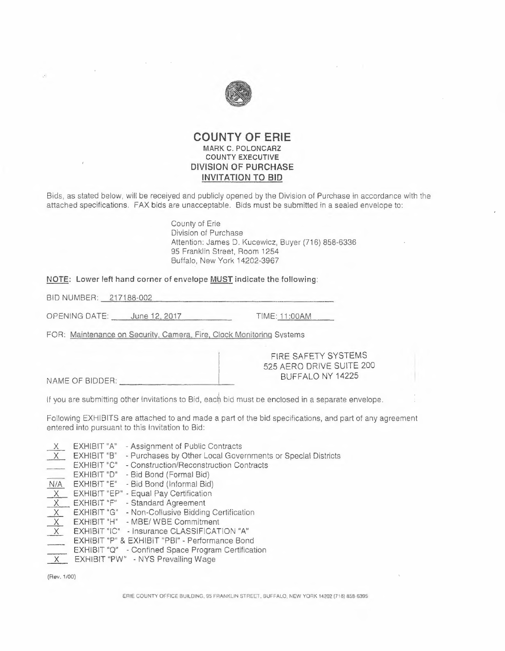

#### **COUNTY OF ERIE MARK C. POLONCARZ COUNTY EXECUTIVE DIVISION OF PURCHASE INVITATION TO BID**

Bids, as stated below, will be receiyed and publicly opened by the Division of Purchase in accordance with the attached specifications. FAX bids are unacceptable. Bids must be submitted in a sealed envelope to:

> County of Erie Division of Purchase Attention: James D. Kucewicz, Buyer (716) 858-6336 95 Franklin Street, Room 1254 Buffalo, New York 14202-3967

**NOTE: Lower left hand corner of envelope MUST indicate the following:**  Bl D NUMBER: --=2"--' 1--'-- 7-'-18=8.\_-=00=2"------------------

BID NUMBER: 217188-002<br>
OPENING DATE: June 12, 2017 TIME: 11:00AM

FOR: Maintenance on Security. Camera. Fire, Clock Monitoring Svstems

NAME OF BIDDER:--------~-

FIRE SAFETY SYSTEMS 525 AERO DRIVE SUITE 200 BUFFALO NY 14225

If you are submitting other Invitations to Bid, each bid must be enclosed in a separate envelope.

Following EXHIBITS are attached to and made a part of the bid specifications, and part of any agreement entered into pursuant to this Invitation to Bid:

EXHIBIT "A" - Assignment of Public Contracts EXHIBIT "B" - Purchases by Other Local Governments or Special Districts EXHIBIT "C" - Construction/Reconstruction Contracts EXHIBIT "O" - Bid Bond (Formal Bid) N/A EXHIBIT "E" - Bid Bond (Informal Bid)<br>
X EXHIBIT "EP" - Equal Pay Certification<br>
X EXHIBIT "EP" - Equal Pay Certification  $X$  EXHIBIT "EP" - Equal Pay Certification<br> $X$  EXHIBIT "F" - Standard Agreement  $X$  EXHIBIT "G" - Non-Collusive Bidding Certification X EXHIBIT "H" - MBE/ WBE Commitment \_x\_ EXHIBIT "IC" - Insurance CLASSIFICATION **"A"**  EXHIBIT "P" & EXHIBIT "PBI" - Performance Bond **EXHIBIT "Q"** - Confined Space Program Certification<br> **X** EXHIBIT "PW" - NYS Prevailing Wage

(Rev. 1/00)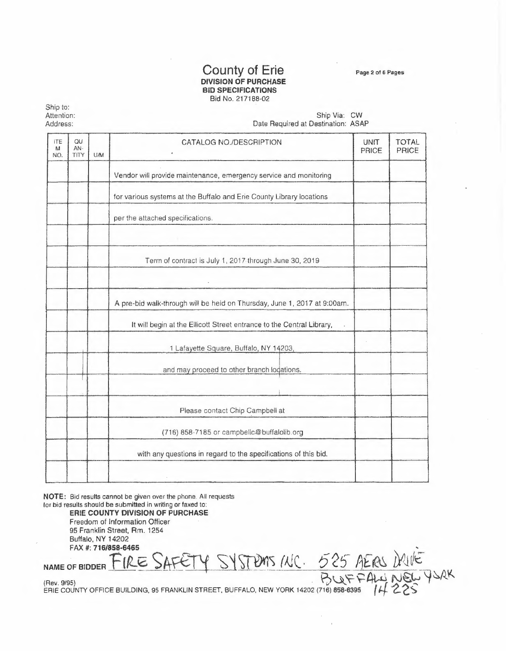Page 2 of 6 Pages

#### **County of Erie DIVISION OF PURCHASE BID SPECIFICATIONS**  Bid No. 217188-02

Ship to: Attention: Address:

Ship Via: CW Date Required at Destination: ASAP

| <b>ITE</b><br>M<br>NO. | QU<br>AN-<br>TITY | <b>U/M</b>                                 | CATALOG NO./DESCRIPTION                                                  | UNIT<br>PRICE | <b>TOTAL</b><br><b>PRICE</b> |
|------------------------|-------------------|--------------------------------------------|--------------------------------------------------------------------------|---------------|------------------------------|
|                        |                   |                                            | Vendor will provide maintenance, emergency service and monitoring        |               |                              |
|                        |                   |                                            | for various systems at the Buffalo and Erie County Library locations     |               |                              |
|                        |                   |                                            | per the attached specifications.                                         |               |                              |
|                        |                   |                                            |                                                                          |               |                              |
|                        |                   |                                            | Term of contract is July 1, 2017 through June 30, 2019                   |               |                              |
|                        |                   |                                            | A pre-bid walk-through will be held on Thursday, June 1, 2017 at 9:00am. |               |                              |
|                        |                   |                                            | It will begin at the Ellicott Street entrance to the Central Library,    |               |                              |
|                        |                   |                                            | 1 Lafayette Square, Buffalo, NY 14203,                                   |               |                              |
|                        |                   | and may proceed to other branch logations. |                                                                          |               |                              |
|                        |                   |                                            | Please contact Chip Campbell at                                          |               |                              |
|                        |                   |                                            | (716) 858-7185 or campbellc@buffalolib.org                               |               |                              |
|                        |                   |                                            | with any questions in regard to the specifications of this bid.          |               |                              |
|                        |                   |                                            |                                                                          |               |                              |

**NOTE:** Bid results cannot be given over the phone. All requests for bid results should be submitted in writing or faxed to:

**ERIE COUNTY DIVISION OF PURCHASE**  Freedom of Information Officer 95 Franklin Street, Rm. 1254 Buffalo, NY 14202<br>FAX #: 716/858-6465 FAX #: **716/858-6465 ,**  95 Franklin Street, Rm. 1254<br>Buffalo, NY 14202<br>FAX #: 716/858-6465<br>NAME OF BIDDER FIRE SAFETY SYSTEMS /NC. 525 AERS DRIVE

(Aev. 9/95) · **Pv¼. ~ ~4\,.4 N~** *\j~A!*  ERIE COUNTY OFFICE BUILDING, 95 FRANKLIN STREET, BUFFALO, NEW YORK 14202 (716) **8\$8-6395**  *'If--¿\_ ê'::>*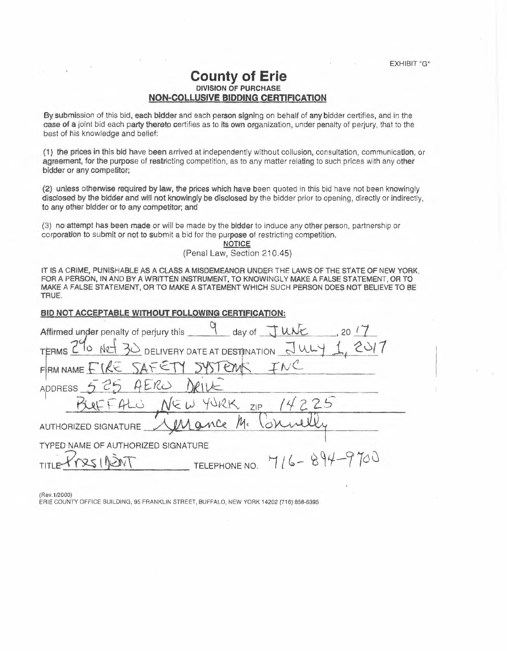## **County of Erie DIVISION OF PURCHASE NON-COLLUSIVE BIDDING CERTIFICATION**

By submission of this bid, each bidder and each person signing on behalf of any bidder certifies, and in the casa of a joint bid each party thereto certifies as to Its own organization, under penalty of perjury, that to the best of his knowledge and belief:

(1) tne prices in this bid have been arrived at independently without collusion, consultation, communication, or agreement, for the purpose of restricting competition, as to any matter relating to such prices with any other bidder or any competitor;

(2) unless otherwise required by law, the prices which have been quoted in this bid have not been knowingly disclosed by the bidder and will not knowingly be disclosed by the bidder prior to opening, directly or indirectly, to any other bidder or to any competitor; and

(3) no.attempt has been made or will be made by the bidder to induce any other person, partnership or · corporation to submit or not to submit a bid for the purpose of restricting competition.

**NOTICE** 

(Penal Law, Section 210.45)

IT IS A CRIME, PUNISHABLE AS A CLASS A MISDEMEANOR UNDER THE LAWS OF THE STATE OF NEW YORK. FOR A PERSON, IN AND BY A WRITTEN INSTRUMENT, TO KNOWINGLY MAKE A FALSE STATEMENT, OR TO MAKE A FALSE STATEMENT, ORTO MAKE A STATEMENT WHICH SUCH PERSON DOES NOT BELIEVE TO BE TRUE.

| I HUE.                                                          |  |  |  |  |  |  |
|-----------------------------------------------------------------|--|--|--|--|--|--|
| <b>BID NOT ACCEPTABLE WITHOUT FOLLOWING CERTIFICATION:</b>      |  |  |  |  |  |  |
| Affirmed under penalty of perjury this 4 day of TUNE<br>$-20/7$ |  |  |  |  |  |  |
| TERMS 290 NRT 30 DELIVERY DATE AT DESTINATION JULY 1            |  |  |  |  |  |  |
| FRAMMANE EIRE SAFETY SYSTEMS INC                                |  |  |  |  |  |  |
| ADDRESS 525 AERO DRIVE                                          |  |  |  |  |  |  |
| BURFALO NEW YORK ZIP 14225                                      |  |  |  |  |  |  |
| AUTHORIZED SIGNATURE Mengence M. Connelli                       |  |  |  |  |  |  |
| TYPED NAME OF AUTHORIZED SIGNATURE                              |  |  |  |  |  |  |
| TELEPHONE NO. 716-894-9700                                      |  |  |  |  |  |  |
|                                                                 |  |  |  |  |  |  |

(Rev.1/2000)

ERIE COUNTY OFFICE BUILDING, 95 FRANKLIN STREET, BUFFALO, NEW YORK 14202 (716) 858-6395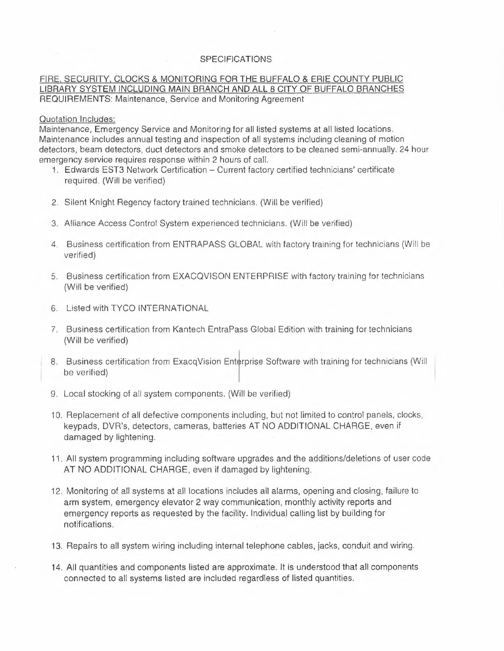#### SPECIFICATIONS

#### FIRE, SECURITY, CLOCKS & MONITORING FOR THE BUFFALO & ERIE COUNTY PUBLIC LIBRARY SYSTEM INCLUDING MAIN BRANCH AND ALL 8 CITY OF BUFFALO BRANCHES REQUIREMENTS: Maintenance, Service and Monitoring Agreement

#### Quotation Includes:

Maintenance, Emergency Service and Monitoring for all listed systems at all listed locations. Maintenance includes annual testing and inspection of all systems including cleaning of motion detectors, beam detectors, duct detectors and smoke detectors to be cleaned semi-annually. 24 hour emergency service requires response within 2 hours of call.

- 1. Edwards EST3 Network Certification Current factory certified technicians' certificate required. (Will be verified)
- 2. Silent Knight Regency factory trained technicians. (Will be verified)
- 3. Alliance Access Control System experienced technicians. (Will be verified)
- 4. Business certification from ENTRAPASS GLOBAL with factory training for technicians (Will be verified)
- 5. Business certification from EXACQVISON ENTERPRISE with factory training for technicians (Will be verified)
- 6. Listed with TYCO INTERNATIONAL
- 7. Business certification from Kantech EntraPass Global Edition with training for technicians (Will be verified)
- 8. Business certification from ExacqVision Enterprise Software with training for technicians (Will be verified)
- 9. Local stocking of all system components. (Will be verified)
- <sup>1</sup>O. Replacement of all defective components including, but not limited to control panels, clocks, keypads, DVR's, detectors, cameras, batteries AT NO ADDITIONAL CHARGE, even if damaged by lightening.
- <sup>1</sup>î. All system programming including software upgrades and the additions/deletions of user code AT NO ADDITIONAL CHARGE, even if damaged by lightening.
- î 2. Monitoring of all systems at all locations includes all alarms, opening and closing, failure to arm system, emergency elevator 2 way communication, monthly activity reports and emergency reports as requested by the facility. Individual calling list by building for notifications.
- 13. Repairs to all system wiring including internal telephone cables, jacks, conduit and wiring.
- 14. All quantities and components listed are approximate. It is understood that all components connected to all systems listed are included regardless of listed quantities.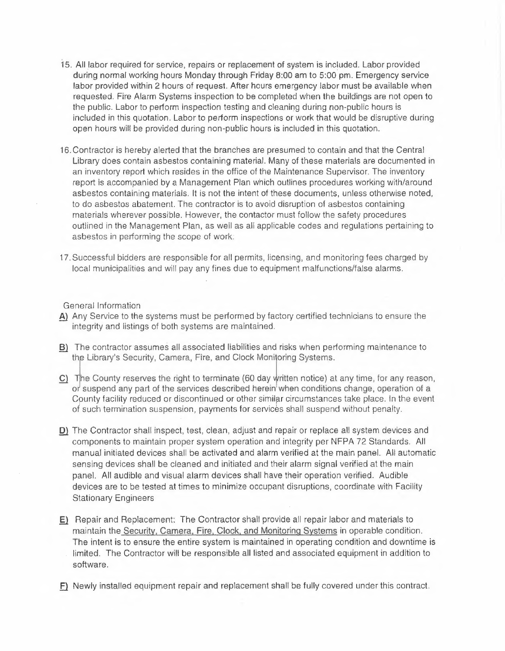- 15. All labor required for service, repairs or replacement of system is included. Labor provided during normal working hours Monday through Friday 8:00 am to 5:00 pm. Emergency service labor provided within 2 hours of request. After hours emergency labor must be available when requested. Fire Alarm Systems inspection to be completed when the buildings are not open to the public. Labor to perform inspection testing and cleaning during non-public hours is included in this quotation. Labor to periorm inspections or work that would be disruptive during open hours will be provided during non-public hours is included in this quotation.
- 16. Contractor is hereby alerted that the branches are presumed to contain and that the Central Library does contain asbestos containing material. Many of these materials are documented in an inventory report which resides in the office of the Maintenance Supervisor. The inventory report is accompanied by a Management Plan which outlines procedures working with/around asbestos containing materials. It is not the intent of these documents, unless otherwise noted, to do asbestos abatement. The contractor is to avoid disruption of asbestos containing materials wherever possible. However, the contactar must follow the safety procedures outlined in the Management Plan, as well as all applicable codes and regulations pertaining to asbestos in performing the scope of work:
- 17. Successful bidders are responsible for all permits, licensing, and monitoring fees charged by local municipalities and will pay any fines due to equipment malfunctions/false alarms.

General Information

- A) Any Service to the systems must be performed by factory certified technicians to ensure the integrity and listings of both systems are maintained.
- **B)** The contractor assumes all associated liabilities and risks when performing maintenance to the contractor assumes all associated liabilities and risks when perf<br>the Library's Security, Camera, Fire, and Clock Monitoring Systems. **the Library's Security, Camera, Fire, and Clock Monitoring Systems.**<br>**C)** The County reserves the right to terminate (60 day written notice) at any time, for any reason,
- or suspend any part of the services described herein when conditions change, operation of a County facility reduced or discontinued or other similar circumstances take place. In the event of such termination suspension, payments for services shall suspend without penalty.
- **D**) The Contractor shall inspect, test, clean, adjust and repair or replace all system devices and components to maintain proper system operation and integrity per NFPA 72 Standards. All manual initiated devices shall be activated and alarm verified at the main panel. All automatic sensing devices shall be cleaned and initiated and their alarm signal verified at the main panel. All audible and visual alarm devices shall have their operation verified. Audible devices are to be tested at times to minimize occupant disruptions, coordinate with Facility Stationary Engineers
- **E)** Repair and Replacement: The Contractor shall provide all repair labor and materials to maintain the Security, Camera, Fire. Clock. and Monitoring Systems in operable condition. The intent is to ensure the entire system is maintained in operating condition and downtime is limited. The Contractor will be responsible all listed and associated equipment in addition to software.
- .E} Newly installed equipment repair and replacement shall be fully covered under this contract.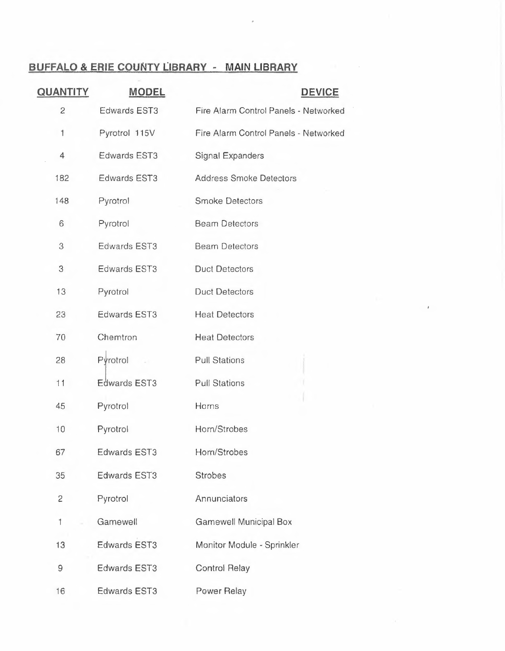# **BUFFALO & ERIE COUNTY LIBRARY - MAIN LIBRARY**

i.

 $\mathbb{R}^n$  . <br> <br>  $\label{eq:R1} \mathbb{R}^n \times \mathbb{R}^n$ 

| <b>QUANTITY</b> | <b>MODEL</b>        | <b>DEVICE</b>                         |
|-----------------|---------------------|---------------------------------------|
| $\mathbf{2}$    | <b>Edwards EST3</b> | Fire Alarm Control Panels - Networked |
| $\mathbf{1}$    | Pyrotrol 115V       | Fire Alarm Control Panels - Networked |
| $\overline{4}$  | Edwards EST3        | Signal Expanders                      |
| 182             | <b>Edwards EST3</b> | <b>Address Smoke Detectors</b>        |
| 148             | Pyrotrol            | <b>Smoke Detectors</b>                |
| 6               | Pyrotrol            | <b>Beam Detectors</b>                 |
| 3               | Edwards EST3        | <b>Beam Detectors</b>                 |
| 3               | Edwards EST3        | <b>Duct Detectors</b>                 |
| 13              | Pyrotrol            | <b>Duct Detectors</b>                 |
| 23              | <b>Edwards EST3</b> | <b>Heat Detectors</b>                 |
| 70              | Chemtron            | <b>Heat Detectors</b>                 |
| 28              | Pyrotrol            | <b>Pull Stations</b>                  |
| 11              | Edwards EST3        | <b>Pull Stations</b>                  |
| 45              | Pyrotrol            | Horns                                 |
| 10              | Pyrotrol            | Horn/Strobes                          |
| 67              | <b>Edwards EST3</b> | Horn/Strobes                          |
| 35              | <b>Edwards EST3</b> | <b>Strobes</b>                        |
| 2               | Pyrotrol            | Annunciators                          |
| $\mathcal{L}$   | Gamewell            | <b>Gamewell Municipal Box</b>         |
| 13              | <b>Edwards EST3</b> | Monitor Module - Sprinkler            |
| 9               | <b>Edwards EST3</b> | <b>Control Relay</b>                  |
| 16              | <b>Edwards EST3</b> | Power Relay                           |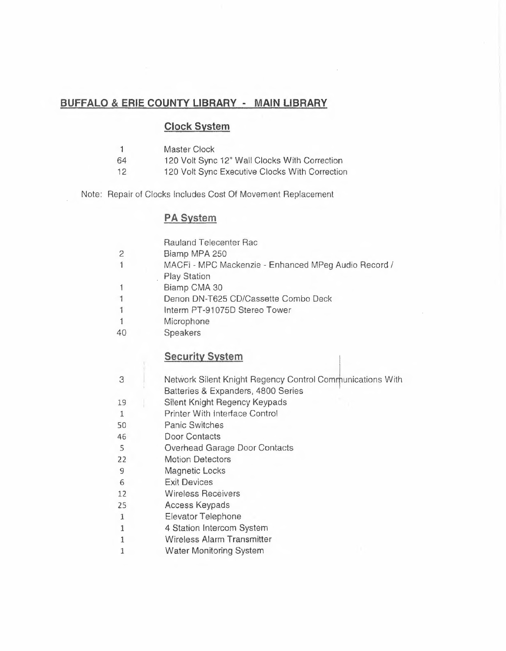# **BUFFALO & ERIE COUNTY LIBRARY - MAIN LIBRARY**

# **Clock System**

- 1 Master Clock<br>64 120 Volt Sync
	- 120 Volt Sync 12" Wall Clocks With Correction
- 12 120 Volt Sync Executive Clocks With Correction

Note: Repair of Clocks Includes Cost Of Movement Replacement

# **PA System**

|                | <b>Rauland Telecenter Rac</b>                                                                   |
|----------------|-------------------------------------------------------------------------------------------------|
| 2              | Biamp MPA 250                                                                                   |
| 1              | MACFi - MPC Mackenzie - Enhanced MPeg Audio Record /<br><b>Play Station</b>                     |
| 1              | Biamp CMA 30                                                                                    |
| $\overline{1}$ | Denon DN-T625 CD/Cassette Combo Deck                                                            |
| 1              | Interm PT-91075D Stereo Tower                                                                   |
| $\mathbf{1}$   | Microphone                                                                                      |
| 40             | Speakers                                                                                        |
|                | <b>Security System</b>                                                                          |
| 3              | Network Silent Knight Regency Control Communications With<br>Batteries & Expanders, 4800 Series |
| 19             | Silent Knight Regency Keypads                                                                   |
| $\mathbf{1}$   | <b>Printer With Interface Control</b>                                                           |
| 50             | <b>Panic Switches</b>                                                                           |
| 46             | <b>Door Contacts</b>                                                                            |
| 5              | Overhead Garage Door Contacts                                                                   |
| 22             | <b>Motion Detectors</b>                                                                         |
| 9              | Magnetic Locks                                                                                  |
| 6              | <b>Exit Devices</b>                                                                             |
| 12             | <b>Wireless Receivers</b>                                                                       |
| 25             | Access Keypads                                                                                  |
| $\mathbf{1}$   | Elevator Telephone                                                                              |
| $\mathbf{1}$   | 4 Station Intercom System                                                                       |
| 1              | <b>Wireless Alarm Transmitter</b>                                                               |

1 Water Monitoring System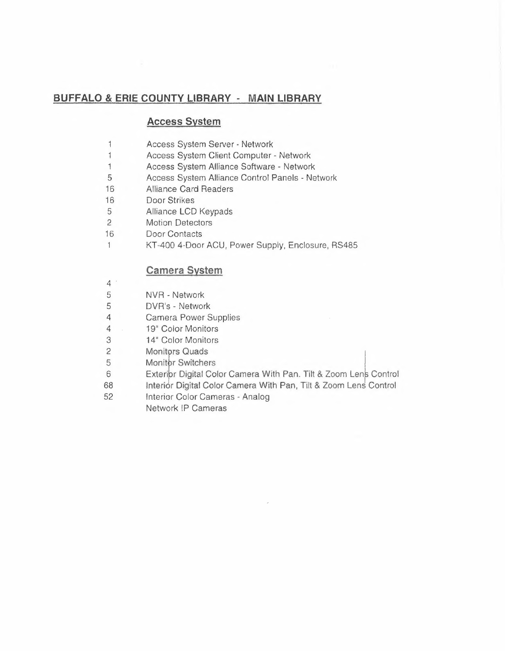# **BUFFALO & ERIE COUNTY LIBRARY - MAIN LIBRARY**

## **Access System**

- $\mathbf{1}$ Access System Server - Network
- $\mathbf{1}$ Access System Client Computer - Network
- 1 Access System Alliance Software Network
- 5 Access System Alliance Control Panels Network
- 16 Alliance Card Readers
- 16 Door Strikes
- 5 Alliance LCD Keypads
- 2 Motion Detectors
- 16 Door Contacts
- KT-400 4-Ooor AGU, Power Supply, Enclosure, RS485  $\mathbf{1}$

# **Camera System**

- 4·
- 5 NVR - Network
- 5 DVR's - Network
- 4 Carnera Power Supplies
- 4 19" Color Monitors
- 3 14" Color Monitors
- 2 Monitors Quads
- 5 Monitor Switchers
- 6 Exterior Digital Color Camera With Pan. Tilt & Zoom Lens Control
- 68 Interior Digital Color Camera With Pan, Tilt & Zoom Lens Control
- 52 Interior Color Cameras - Analog
	- Network IP Cameras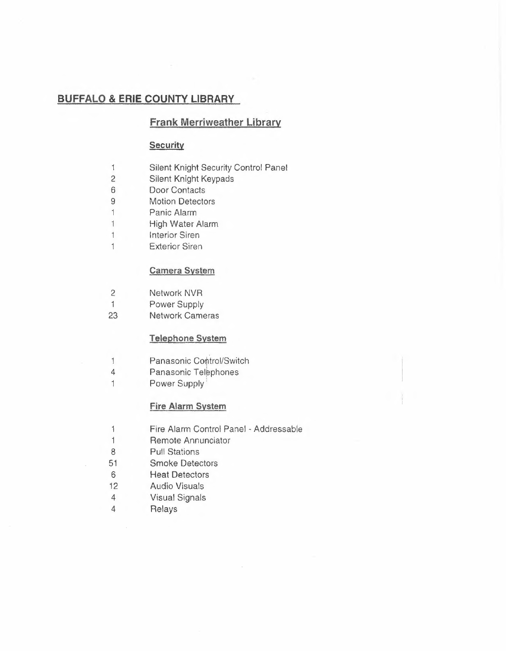# **Frank Merriweather Library**

#### **Security**

- $\mathbf{1}$ Silent Knight Security Control Panel
- 2 Silent Knight Keypads
- 6 Door Contacts
- 9 Motion Detectors
- $\mathbf{1}$ Panic Alarm
- $\mathbf{1}$ High Water Alarm
- Interior Siren  $\mathbf{1}$
- $\mathbf{1}$ Exterior Siren

## **Camera System**

- 2 Network NVR
- 1 Power Supply
- 23 Network Cameras

## **Telephone System**

- Panasonic Control/Switch  $\mathbf{1}$
- 4 Panasonic Telephones
- 1 Power Supply

#### **Fire Alarm System**

- $\mathbf{1}$ Fire Alarm Control Panel - Addressable
- $\mathbf{1}$ Remote Annunciator
- 8 Pull Stations
- 51 Smoke Detectors
- 6 Heat Detectors
- 12 Audio Visuals
- 4 Visual Signals
- 4 Relays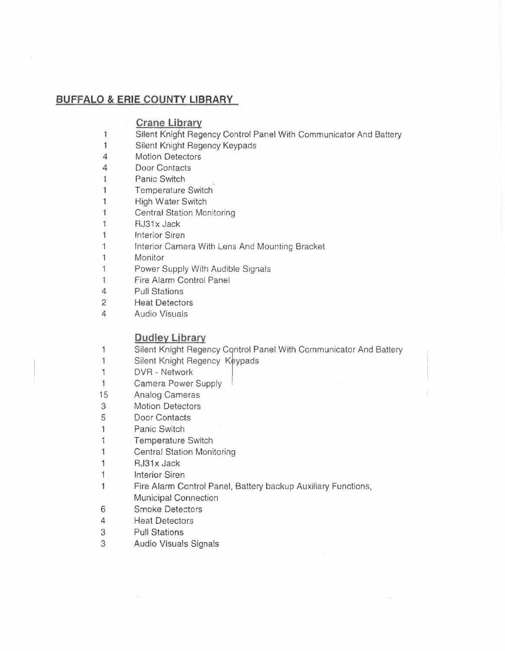## **Crane Library**

- 1 Silent Knight Regency Control Panel With Communicator And Battery
- 1 Silent Knight Regency Keypads
- 4 Motion Detectors
- 4 Door Contacts
- 1 Panic Switch
- 1 Temperature Switch
- 1 High Water Switch
- 1 Central Station Monitoring
- 1 RJ31x Jack
- 1 Interior Siren
- 1 Interior Camera With Lens And Mounting Bracket
- 1 Monitor
- 1 Power Supply With Audible Signals
- 1 Fire Alarm Control Panel
- 4 Pull Stations
- 2 Heat Detectors
- 4 Audio Visuals

1

# **Dudley Library**

- Silent Knight Regency Control Panel With Communicator And Battery
- 1 Silent Knight Regency Keypads
- 1 DVR - Network
- 1 Camera Power Supply ,
- 15 Analog Cameras
- 3 Motion Detectors
- 5 Door Contacts
- 1 Panic Switch
- 1 Temperature Switch
- 1 Central Station Monitoring
- 1 RJ31x Jack
- 1 Interior Siren
- 1 Fire Alarm Control Panel, Battery backup Auxiliary Functions,
- Municipal Connection
- 6 Smoke Detectors
- 4 Heat Detectors
- 3 Pull Stations
- 3 Audio Visuals Signals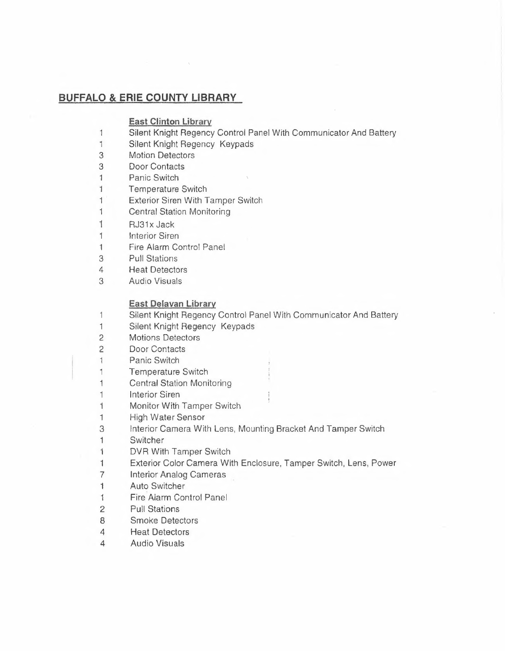#### **East Clinton Library**

- 1 Silent Knight Regency Control Panel With Communicator And Battery
- 1 Silent Knight Regency Keypads
- 3 Motion Detectors
- 3 Door Contacts
- 1 Panic Switch
- 1 Temperature Switch
- 1 Exterior Siren With Tamper Switch
- 1 Central Station Monitoring
- $1$  RJ31 $x$  Jack
- 1 **Interior Siren**
- 1 Fire Alarm Control Panel
- 3 Pull Stations
- 4 Heat Detectors
- 3 Audio Visuals

#### **East Delavan Library**

- $\mathbf{1}$ Silent Knight Regency Control Panel With Communicator And Battery
- 1 Silent Knight Regency Keypads
- 2 Motions Detectors
- 2 Door Contacts
- Panic Switch  $\mathbf{1}$
- 1 Temperature Switch
- 1 Central Station Monitoring
- 1 Interior Siren
- 1 Monitor With Tamper Switch
- 1 High Water Sensor
- 3 Interior Camera With Lens, Mounting Bracket And Tamper Switch
- 1 Switcher
- 1 DVR With Tamper Switch
- 1 Exterior Color Camera With Enclosure, Tamper Switch, Lens, Power
- 7 Interior Analog Cameras
- 1 Auto Switcher
- 1 Fire Alarm Control Panel
- 2 Pull Stations
- 8 Smoke Detectors
- 4 Heat Detectors
- 4 Audio Visuals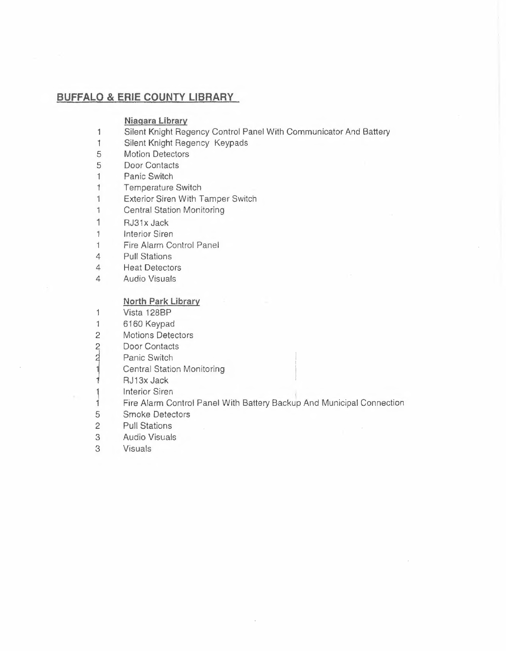#### **Niagara Library**

- 1 Silent Knight Regency Control Panel With Communicator And Battery
- 1 Silent Knight Regency Keypads
- 5 Motion Detectors
- 5 Door Contacts
- 1 Panic Switch
- 1 Temperature Switch
- $\mathbf{1}$ Exterior Siren With Tamper Switch
- $\mathbf{1}$ Central Station Monitoring
- 1 RJ31x Jack
- 1 Interior Siren
- 1 Fire Alarm Control Panel
- 4 Pull Stations
- 4 Heat Detectors
- 4 Audio Visuals

#### **North Park Library**

- 1 Vista 1288P
- 1 6160 Keypad
- 2 Motions Detectors
- $\overline{2}$ Door Contacts
- $\frac{1}{2}$ Panic Switch
	- Central Station Monitoring
- 1 RJ13x Jack
- Interior Siren
- 1 1 Fire Alarm Control Panel With Battery Backup And Municipal Connection
- 5 Smoke Detectors
- 2 Pull Stations
- 3 Audio Visuals
- 3 Visuals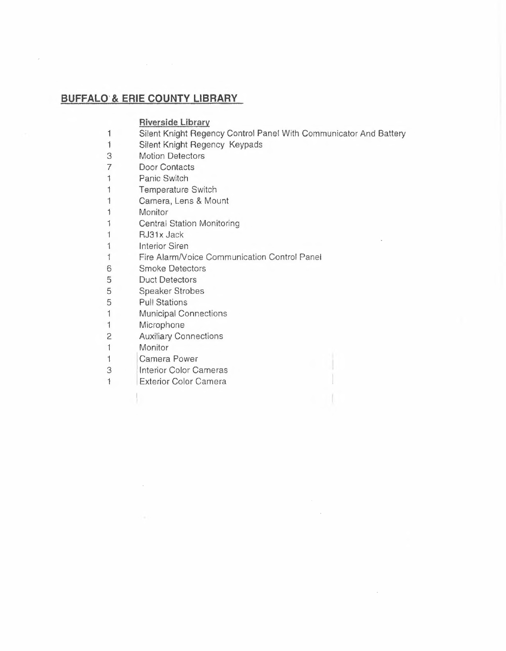## **Riverside Library**

- 1 Silent Knight Regency Control Panel With Communicator And Battery
- 1 Silent Knight Regency Keypads
- 3 Motion Detectors
- 7 Door Contacts
- 1 Panic Switch
- 1 Temperature Switch
- 1 Camera, Lens & Mount
- 1 Monitor
- 1 Central Station Monitoring
- 1 RJ31x Jack
- 1 Interior Siren
- 1 Fire Alarm/Voice Communication Control Panel<br>6 Smoke Detectors
- **Smoke Detectors**
- 5 Duct Detectors
- 5 Speaker Strobes<br>5 Pull Stations
- Pull Stations
- 1 Municipal Connections
- 1 Microphone

 $\epsilon$ 

- 2 Auxiliary Connections
- 1 Monitor
- 1 Camera Power
- 3 Interior Color Cameras
- 1 Exterior Color Camera